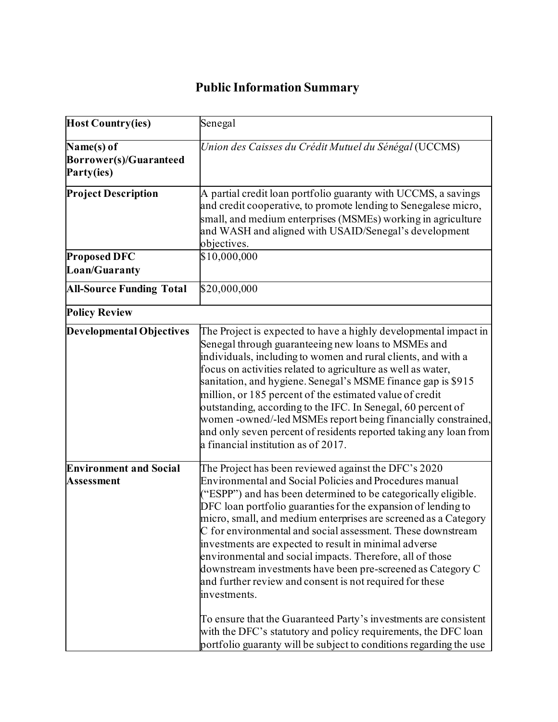## **Public Information Summary**

| <b>Host Country(ies)</b>                           | Senegal                                                                                                                                                                                                                                                                                                                                                                                                                                                                                                                                                                                                                                                                                                                                                                                                                                                                  |
|----------------------------------------------------|--------------------------------------------------------------------------------------------------------------------------------------------------------------------------------------------------------------------------------------------------------------------------------------------------------------------------------------------------------------------------------------------------------------------------------------------------------------------------------------------------------------------------------------------------------------------------------------------------------------------------------------------------------------------------------------------------------------------------------------------------------------------------------------------------------------------------------------------------------------------------|
| Name(s) of<br>Borrower(s)/Guaranteed<br>Party(ies) | Union des Caisses du Crédit Mutuel du Sénégal (UCCMS)                                                                                                                                                                                                                                                                                                                                                                                                                                                                                                                                                                                                                                                                                                                                                                                                                    |
| <b>Project Description</b><br><b>Proposed DFC</b>  | A partial credit loan portfolio guaranty with UCCMS, a savings<br>and credit cooperative, to promote lending to Senegalese micro,<br>small, and medium enterprises (MSMEs) working in agriculture<br>and WASH and aligned with USAID/Senegal's development<br>objectives.<br>\$10,000,000                                                                                                                                                                                                                                                                                                                                                                                                                                                                                                                                                                                |
| <b>Loan/Guaranty</b>                               |                                                                                                                                                                                                                                                                                                                                                                                                                                                                                                                                                                                                                                                                                                                                                                                                                                                                          |
| <b>All-Source Funding Total</b>                    | \$20,000,000                                                                                                                                                                                                                                                                                                                                                                                                                                                                                                                                                                                                                                                                                                                                                                                                                                                             |
| <b>Policy Review</b>                               |                                                                                                                                                                                                                                                                                                                                                                                                                                                                                                                                                                                                                                                                                                                                                                                                                                                                          |
| <b>Developmental Objectives</b>                    | The Project is expected to have a highly developmental impact in<br>Senegal through guaranteeing new loans to MSMEs and<br>individuals, including to women and rural clients, and with a<br>focus on activities related to agriculture as well as water,<br>sanitation, and hygiene. Senegal's MSME finance gap is \$915<br>million, or 185 percent of the estimated value of credit<br>outstanding, according to the IFC. In Senegal, 60 percent of<br>women-owned/-led MSMEs report being financially constrained,<br>and only seven percent of residents reported taking any loan from<br>a financial institution as of 2017.                                                                                                                                                                                                                                         |
| <b>Environment and Social</b><br><b>Assessment</b> | The Project has been reviewed against the DFC's 2020<br><b>Environmental and Social Policies and Procedures manual</b><br>("ESPP") and has been determined to be categorically eligible.<br>DFC loan portfolio guaranties for the expansion of lending to<br>micro, small, and medium enterprises are screened as a Category<br>C for environmental and social assessment. These downstream<br>investments are expected to result in minimal adverse<br>environmental and social impacts. Therefore, all of those<br>downstream investments have been pre-screened as Category C<br>and further review and consent is not required for these<br>investments.<br>To ensure that the Guaranteed Party's investments are consistent<br>with the DFC's statutory and policy requirements, the DFC loan<br>portfolio guaranty will be subject to conditions regarding the use |